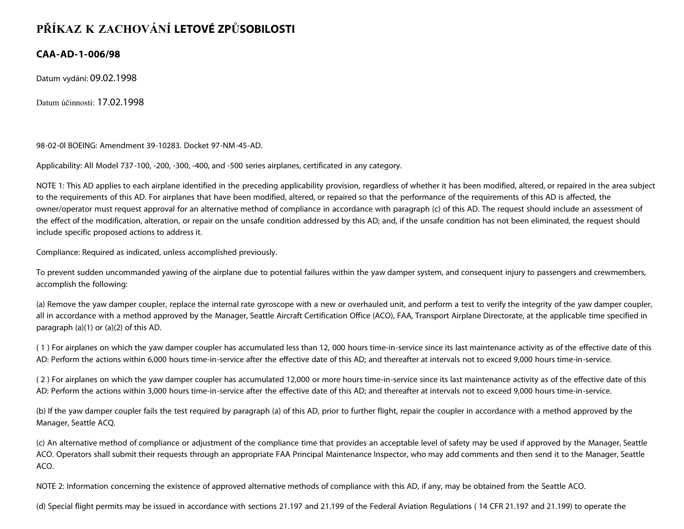## **PŘÍKAZ K ZACHOVÁNÍ LETOVÉ ZPŮSOBILOSTI**

## **CAA-AD-1-006/98**

Datum vydání: 09.02.1998

Datum účinnosti: 17.02.1998

98-02-0l BOEING: Amendment 39-10283. Docket 97-NM-45-AD.

Applicability: All Model 737-100, -200, -300, -400, and -500 series airplanes, certificated in any category.

NOTE 1: This AD applies to each airplane identified in the preceding applicability provision, regardless of whether it has been modified, altered, or repaired in the area subject to the requirements of this AD. For airplanes that have been modified, altered, or repaired so that the performance of the requirements of this AD is affected, the owner/operator must request approval for an alternative method of compliance in accordance with paragraph (c) of this AD. The request should include an assessment of the effect of the modification, alteration, or repair on the unsafe condition addressed by this AD; and, if the unsafe condition has not been eliminated, the request should include specific proposed actions to address it.

Compliance: Required as indicated, unless accomplished previously.

To prevent sudden uncommanded yawing of the airplane due to potential failures within the yaw damper system, and consequent injury to passengers and crewmembers, accomplish the following:

(a) Remove the yaw damper coupler, replace the internal rate gyroscope with a new or overhauled unit, and perform a test to verify the integrity of the yaw damper coupler, all in accordance with a method approved by the Manager, Seattle Aircraft Certification Office (ACO), FAA, Transport Airplane Directorate, at the applicable time specified in paragraph (a)(1) or (a)(2) of this AD.

( 1 ) For airplanes on which the yaw damper coupler has accumulated less than 12, 000 hours time-in-service since its last maintenance activity as of the effective date of this AD: Perform the actions within 6,000 hours time-in-service after the effective date of this AD; and thereafter at intervals not to exceed 9,000 hours time-in-service.

( 2 ) For airplanes on which the yaw damper coupler has accumulated 12,000 or more hours time-in-service since its last maintenance activity as of the effective date of this AD: Perform the actions within 3,000 hours time-in-service after the effective date of this AD; and thereafter at intervals not to exceed 9,000 hours time-in-service.

(b) If the yaw damper coupler fails the test required by paragraph (a) of this AD, prior to further flight, repair the coupler in accordance with a method approved by the Manager, Seattle ACQ.

(c) An alternative method of compliance or adjustment of the compliance time that provides an acceptable level of safety may be used if approved by the Manager, Seattle ACO. Operators shall submit their requests through an appropriate FAA Principal Maintenance Inspector, who may add comments and then send it to the Manager, Seattle ACO.

NOTE 2: Information concerning the existence of approved alternative methods of compliance with this AD, if any, may be obtained from the Seattle ACO.

(d) Special flight permits may be issued in accordance with sections 21.197 and 21.199 of the Federal Aviation Regulations ( 14 CFR 21.197 and 21.199) to operate the